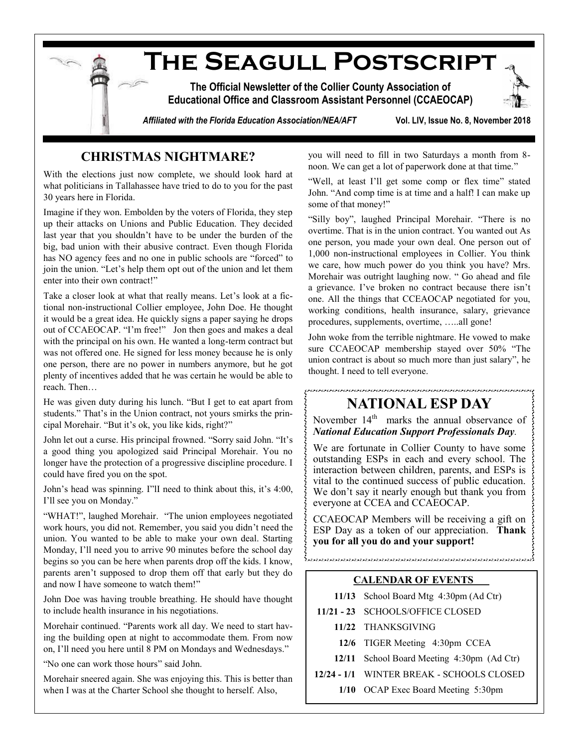

# **CHRISTMAS NIGHTMARE?**

With the elections just now complete, we should look hard at what politicians in Tallahassee have tried to do to you for the past 30 years here in Florida.

Imagine if they won. Embolden by the voters of Florida, they step up their attacks on Unions and Public Education. They decided last year that you shouldn't have to be under the burden of the big, bad union with their abusive contract. Even though Florida has NO agency fees and no one in public schools are "forced" to join the union. "Let's help them opt out of the union and let them enter into their own contract!"

Take a closer look at what that really means. Let's look at a fictional non-instructional Collier employee, John Doe. He thought it would be a great idea. He quickly signs a paper saying he drops out of CCAEOCAP. "I'm free!" Jon then goes and makes a deal with the principal on his own. He wanted a long-term contract but was not offered one. He signed for less money because he is only one person, there are no power in numbers anymore, but he got plenty of incentives added that he was certain he would be able to reach. Then…

He was given duty during his lunch. "But I get to eat apart from students." That's in the Union contract, not yours smirks the principal Morehair. "But it's ok, you like kids, right?"

John let out a curse. His principal frowned. "Sorry said John. "It's a good thing you apologized said Principal Morehair. You no longer have the protection of a progressive discipline procedure. I could have fired you on the spot.

John's head was spinning. I"lI need to think about this, it's 4:00, I'll see you on Monday."

"WHAT!", laughed Morehair. "The union employees negotiated work hours, you did not. Remember, you said you didn't need the union. You wanted to be able to make your own deal. Starting Monday, I'll need you to arrive 90 minutes before the school day begins so you can be here when parents drop off the kids. I know, parents aren't supposed to drop them off that early but they do and now I have someone to watch them!"

John Doe was having trouble breathing. He should have thought to include health insurance in his negotiations.

Morehair continued. "Parents work all day. We need to start having the building open at night to accommodate them. From now on, I'll need you here until 8 PM on Mondays and Wednesdays."

"No one can work those hours" said John.

Morehair sneered again. She was enjoying this. This is better than when I was at the Charter School she thought to herself. Also,

you will need to fill in two Saturdays a month from 8 noon. We can get a lot of paperwork done at that time."

"Well, at least I'll get some comp or flex time" stated John. "And comp time is at time and a half! I can make up some of that money!"

"Silly boy", laughed Principal Morehair. "There is no overtime. That is in the union contract. You wanted out As one person, you made your own deal. One person out of 1,000 non-instructional employees in Collier. You think we care, how much power do you think you have? Mrs. Morehair was outright laughing now. " Go ahead and file a grievance. I've broken no contract because there isn't one. All the things that CCEAOCAP negotiated for you, working conditions, health insurance, salary, grievance procedures, supplements, overtime, …..all gone!

John woke from the terrible nightmare. He vowed to make sure CCAEOCAP membership stayed over 50% "The union contract is about so much more than just salary", he thought. I need to tell everyone.

# **NATIONAL ESP DAY**

.<br>In the first that the state of the state of the state of the state of the state of the state of the state of th

November 14<sup>th</sup> marks the annual observance of *National Education Support Professionals Day.* 

We are fortunate in Collier County to have some outstanding ESPs in each and every school. The interaction between children, parents, and ESPs is vital to the continued success of public education. We don't say it nearly enough but thank you from everyone at CCEA and CCAEOCAP.

CCAEOCAP Members will be receiving a gift on ESP Day as a token of our appreciation. **Thank you for all you do and your support!**

.<br>د کار دارد و بازی در در دارد و از دارد و از دارد و از دارد و از دارد و از دارد و از دارد و از دارد و از دارد و از دارد

#### **CALENDAR OF EVENTS**

- **11/13** School Board Mtg 4:30pm (Ad Ctr)
- **11/21 - 23** SCHOOLS/OFFICE CLOSED
	- **11/22** THANKSGIVING
	- **12/6** TIGER Meeting 4:30pm CCEA
	- **12/11** School Board Meeting 4:30pm (Ad Ctr)

**12/24 - 1/1** WINTER BREAK - SCHOOLS CLOSED

**1/10** OCAP Exec Board Meeting 5:30pm